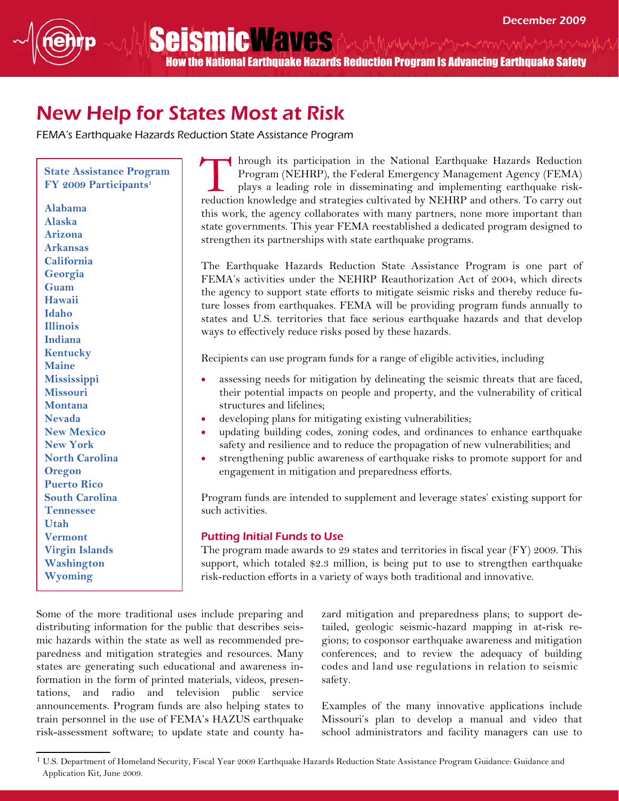Seismic Maves And Mutture American and the How the National Earthquake Hazards Reduction Program Is Advancing Earthquake Safety

## New Help for States Most at Risk

FEMA's Earthquake Hazards Reduction State Assistance Program

Alabama Alaska Arizona Arkansas California Georgia Guam Hawaii Idaho Illinois Indiana Kentucky Maine **Mississippi** Missouri Montana Nevada New Mexico New York North Carolina **Oregon** Puerto Rico South Carolina Tennessee Utah Vermont Virgin Islands Washington Wyoming

State Assistance Program

hrough its participation in the National Earthquake Hazards Reduction Program (NEHRP), the Federal Emergency Management Agency (FEMA) plays a leading role in disseminating and implementing earthquake riskreduction knowledge and strategies cultivated by NEHRP and others. To carry out this work, the agency collaborates with many partners, none more important than state governments. This year FEMA reestablished a dedicated program designed to strengthen its partnerships with state earthquake programs. State Assistance Program<br>FY 2009 Participants<sup>1</sup>

> The Earthquake Hazards Reduction State Assistance Program is one part of FEMA's activities under the NEHRP Reauthorization Act of 2004, which directs the agency to support state efforts to mitigate seismic risks and thereby reduce future losses from earthquakes. FEMA will be providing program funds annually to states and U.S. territories that face serious earthquake hazards and that develop ways to effectively reduce risks posed by these hazards.

Recipients can use program funds for a range of eligible activities, including

- assessing needs for mitigation by delineating the seismic threats that are faced, their potential impacts on people and property, and the vulnerability of critical structures and lifelines;
- developing plans for mitigating existing vulnerabilities;
- updating building codes, zoning codes, and ordinances to enhance earthquake safety and resilience and to reduce the propagation of new vulnerabilities; and
- strengthening public awareness of earthquake risks to promote support for and engagement in mitigation and preparedness efforts.

Program funds are intended to supplement and leverage states' existing support for such activities.

## Putting Initial Funds to Use

The program made awards to 29 states and territories in fiscal year (FY) 2009. This support, which totaled \$2.3 million, is being put to use to strengthen earthquake risk-reduction efforts in a variety of ways both traditional and innovative.

Some of the more traditional uses include preparing and distributing information for the public that describes seismic hazards within the state as well as recommended preparedness and mitigation strategies and resources. Many states are generating such educational and awareness information in the form of printed materials, videos, presentations, and radio and television public service announcements. Program funds are also helping states to train personnel in the use of FEMA's HAZUS earthquake risk-assessment software; to update state and county ha-

zard mitigation and preparedness plans; to support detailed, geologic seismic-hazard mapping in at-risk regions; to cosponsor earthquake awareness and mitigation conferences; and to review the adequacy of building codes and land use regulations in relation to seismic safety.

Examples of the many innovative applications include Missouri's plan to develop a manual and video that school administrators and facility managers can use to

<sup>&</sup>lt;sup>1</sup> U.S. Department of Homeland Security, Fiscal Year 2009 Earthquake Hazards Reduction State Assistance Program Guidance: Guidance and Application Kit, June 2009.